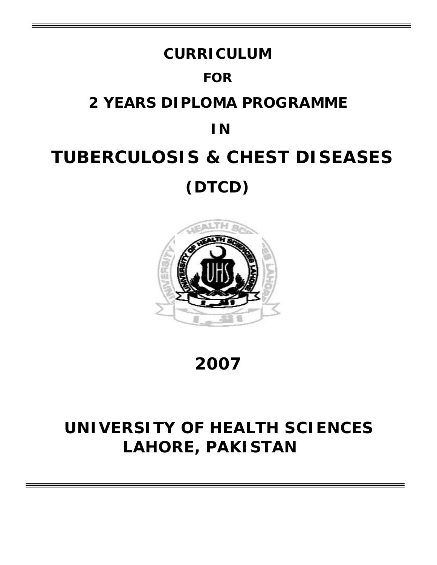# **CURRICULUM FOR 2 YEARS DIPLOMA PROGRAMME IN TUBERCULOSIS & CHEST DISEASES (DTCD)**



**2007**

## **UNIVERSITY OF HEALTH SCIENCES LAHORE, PAKISTAN**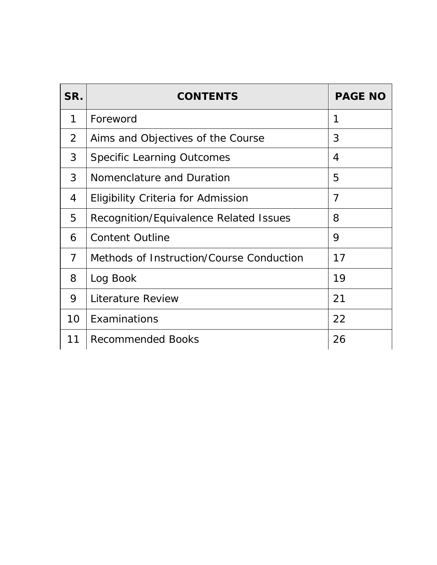| SR.            | <b>CONTENTS</b>                          | <b>PAGE NO</b> |
|----------------|------------------------------------------|----------------|
| 1              | Foreword                                 | 1              |
| 2              | Aims and Objectives of the Course        | 3              |
| 3              | <b>Specific Learning Outcomes</b>        | 4              |
| 3              | Nomenclature and Duration                | 5              |
| 4              | Eligibility Criteria for Admission       | 7              |
| 5              | Recognition/Equivalence Related Issues   | 8              |
| 6              | <b>Content Outline</b>                   | 9              |
| $\overline{7}$ | Methods of Instruction/Course Conduction | 17             |
| 8              | Log Book                                 | 19             |
| 9              | Literature Review                        | 21             |
| 10             | Examinations                             | 22             |
| 11             | <b>Recommended Books</b>                 | 26             |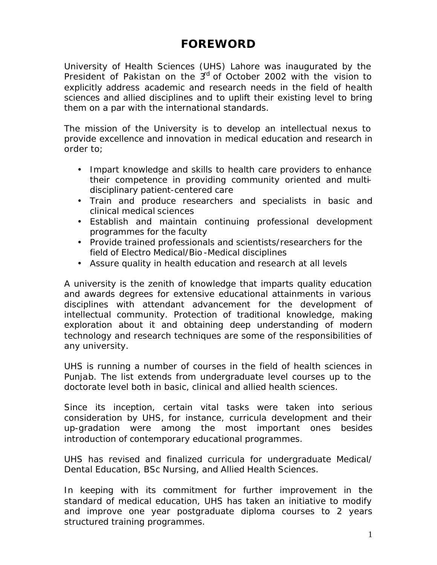### **FOREWORD**

University of Health Sciences (UHS) Lahore was inaugurated by the President of Pakistan on the 3<sup>rd</sup> of October 2002 with the vision to explicitly address academic and research needs in the field of health sciences and allied disciplines and to uplift their existing level to bring them on a par with the international standards.

The mission of the University is to develop an intellectual nexus to provide excellence and innovation in medical education and research in order to;

- Impart knowledge and skills to health care providers to enhance their competence in providing community oriented and multidisciplinary patient-centered care
- Train and produce researchers and specialists in basic and clinical medical sciences
- Establish and maintain continuing professional development programmes for the faculty
- Provide trained professionals and scientists/researchers for the field of Electro Medical/Bio -Medical disciplines
- Assure quality in health education and research at all levels

A university is the zenith of knowledge that imparts quality education and awards degrees for extensive educational attainments in various disciplines with attendant advancement for the development of intellectual community. Protection of traditional knowledge, making exploration about it and obtaining deep understanding of modern technology and research techniques are some of the responsibilities of any university.

UHS is running a number of courses in the field of health sciences in Punjab. The list extends from undergraduate level courses up to the doctorate level both in basic, clinical and allied health sciences.

Since its inception, certain vital tasks were taken into serious consideration by UHS, for instance, curricula development and their up-gradation were among the most important ones besides introduction of contemporary educational programmes.

UHS has revised and finalized curricula for undergraduate Medical/ Dental Education, BSc Nursing, and Allied Health Sciences.

In keeping with its commitment for further improvement in the standard of medical education, UHS has taken an initiative to modify and improve one year postgraduate diploma courses to 2 years structured training programmes.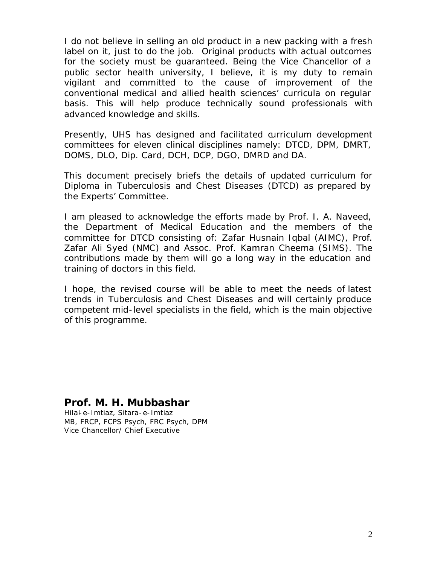I do not believe in selling an old product in a new packing with a fresh label on it, just to do the job. Original products with actual outcomes for the society must be guaranteed. Being the Vice Chancellor of a public sector health university, I believe, it is my duty to remain vigilant and committed to the cause of improvement of the conventional medical and allied health sciences' curricula on regular basis. This will help produce technically sound professionals with advanced knowledge and skills.

Presently, UHS has designed and facilitated curriculum development committees for eleven clinical disciplines namely: DTCD, DPM, DMRT, DOMS, DLO, Dip. Card, DCH, DCP, DGO, DMRD and DA.

This document precisely briefs the details of updated curriculum for Diploma in Tuberculosis and Chest Diseases (DTCD) as prepared by the Experts' Committee.

I am pleased to acknowledge the efforts made by Prof. I. A. Naveed, the Department of Medical Education and the members of the committee for DTCD consisting of: *Zafar Husnain Iqbal (AIMC), Prof. Zafar Ali Syed (NMC) and Assoc. Prof. Kamran Cheema (SIMS)*. The contributions made by them will go a long way in the education and training of doctors in this field.

I hope, the revised course will be able to meet the needs of latest trends in Tuberculosis and Chest Diseases and will certainly produce competent mid-level specialists in the field, which is the main objective of this programme.

#### **Prof. M. H. Mubbashar**

Hilal-e-Imtiaz, Sitara-e-Imtiaz MB, FRCP, FCPS Psych, FRC Psych, DPM Vice Chancellor/ Chief Executive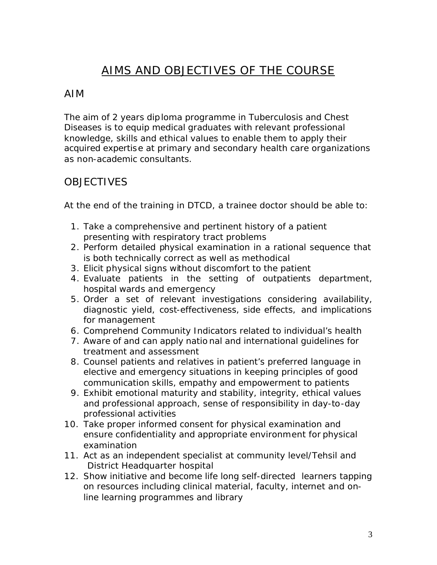### AIMS AND OBJECTIVES OF THE COURSE

### AIM

The aim of 2 years diploma programme in Tuberculosis and Chest Diseases is to equip medical graduates with relevant professional knowledge, skills and ethical values to enable them to apply their acquired expertise at primary and secondary health care organizations as non-academic consultants.

### **OBJECTIVES**

At the end of the training in DTCD, a trainee doctor should be able to:

- 1. Take a comprehensive and pertinent history of a patient presenting with respiratory tract problems
- 2. Perform detailed physical examination in a rational sequence that is both technically correct as well as methodical
- 3. Elicit physical signs without discomfort to the patient
- 4. Evaluate patients in the setting of outpatients department, hospital wards and emergency
- 5. Order a set of relevant investigations considering availability, diagnostic yield, cost-effectiveness, side effects, and implications for management
- 6. Comprehend Community Indicators related to individual's health
- 7. Aware of and can apply natio nal and international guidelines for treatment and assessment
- 8. Counsel patients and relatives in patient's preferred language in elective and emergency situations in keeping principles of good communication skills, empathy and empowerment to patients
- 9. Exhibit emotional maturity and stability, integrity, ethical values and professional approach, sense of responsibility in day-to-day professional activities
- 10. Take proper informed consent for physical examination and ensure confidentiality and appropriate environment for physical examination
- 11. Act as an independent specialist at community level/Tehsil and District Headquarter hospital
- 12. Show initiative and become life long self-directed learners tapping on resources including clinical material, faculty, internet and online learning programmes and library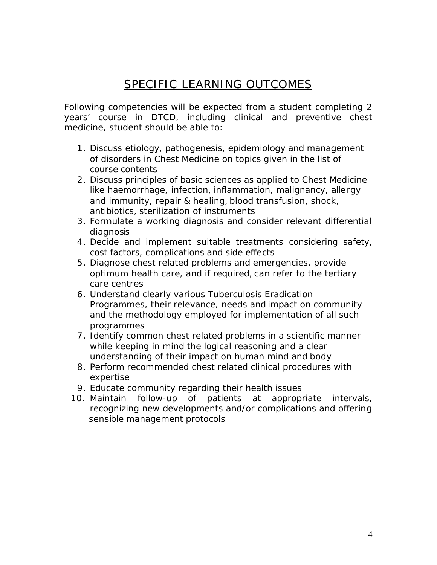### SPECIFIC LEARNING OUTCOMES

Following competencies will be expected from a student completing 2 years' course in DTCD, including clinical and preventive chest medicine, student should be able to:

- 1. Discuss etiology, pathogenesis, epidemiology and management of disorders in Chest Medicine on topics given in the list of course contents
- 2. Discuss principles of basic sciences as applied to Chest Medicine like haemorrhage, infection, inflammation, malignancy, alle rgy and immunity, repair & healing, blood transfusion, shock, antibiotics, sterilization of instruments
- 3. Formulate a working diagnosis and consider relevant differential diagnosis
- 4. Decide and implement suitable treatments considering safety, cost factors, complications and side effects
- 5. Diagnose chest related problems and emergencies, provide optimum health care, and if required, can refer to the tertiary care centres
- 6. Understand clearly various Tuberculosis Eradication Programmes, their relevance, needs and impact on community and the methodology employed for implementation of all such programmes
- 7. Identify common chest related problems in a scientific manner while keeping in mind the logical reasoning and a clear understanding of their impact on human mind and body
- 8. Perform recommended chest related clinical procedures with expertise
- 9. Educate community regarding their health issues
- 10. Maintain follow-up of patients at appropriate intervals, recognizing new developments and/or complications and offering sensible management protocols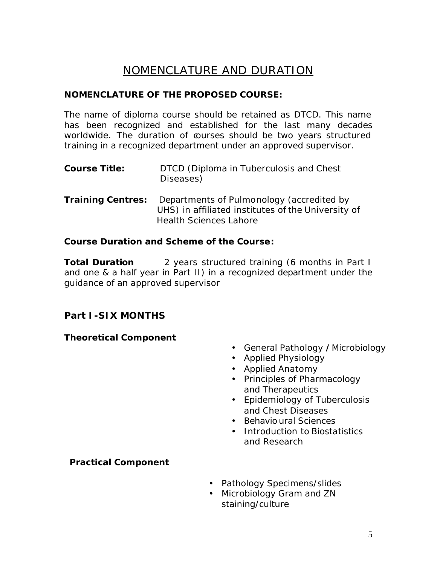### NOMENCLATURE AND DURATION

#### **NOMENCLATURE OF THE PROPOSED COURSE:**

The name of diploma course should be retained as DTCD. This name has been recognized and established for the last many decades worldwide. The duration of courses should be two years structured training in a recognized department under an approved supervisor.

- **Course Title:** DTCD (Diploma in Tuberculosis and Chest Diseases)
- **Training Centres:** Departments of Pulmonology (accredited by UHS) in affiliated institutes of the University of Health Sciences Lahore

#### **Course Duration and Scheme of the Course:**

**Total Duration** 2 years structured training (6 months in Part I and one & a half year in Part II) in a recognized department under the guidance of an approved supervisor

#### **Part I-SIX MONTHS**

#### **Theoretical Component**

- General Pathology **/**Microbiology
- Applied Physiology
- Applied Anatomy
- Principles of Pharmacology and Therapeutics
- Epidemiology of Tuberculosis and Chest Diseases
- Behavio ural Sciences
- Introduction to Biostatistics and Research

#### **Practical Component**

- Pathology Specimens/slides
- Microbiology Gram and ZN staining/culture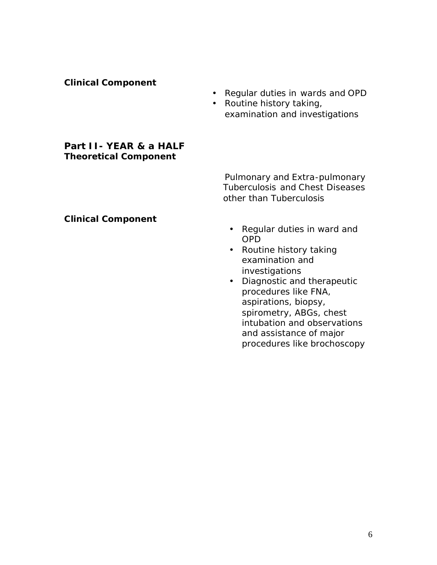#### **Clinical Component**

- Regular duties in wards and OPD
- Routine history taking, examination and investigations

#### **Part II- YEAR & a HALF Theoretical Component**

Pulmonary and Extra-pulmonary Tuberculosis and Chest Diseases other than Tuberculosis

#### **Clinical Component**

- Regular duties in ward and OPD
- Routine history taking examination and investigations
- Diagnostic and therapeutic procedures like FNA, aspirations, biopsy, spirometry, ABGs, chest intubation and observations and assistance of major procedures like brochoscopy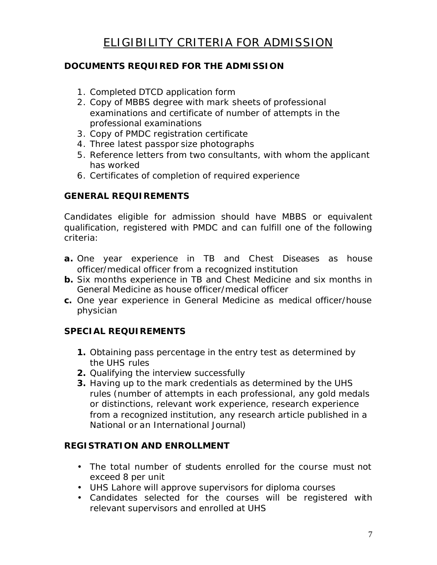#### **DOCUMENTS REQUIRED FOR THE ADMISSION**

- 1. Completed DTCD application form
- 2. Copy of MBBS degree with mark sheets of professional examinations and certificate of number of attempts in the professional examinations
- 3. Copy of PMDC registration certificate
- 4. Three latest passpor size photographs
- 5. Reference letters from two consultants, with whom the applicant has worked
- 6. Certificates of completion of required experience

#### **GENERAL REQUIREMENTS**

Candidates eligible for admission should have MBBS or equivalent qualification, registered with PMDC and can fulfill one of the following criteria:

- **a.** One year experience in TB and Chest Diseases as house officer/medical officer from a recognized institution
- **b.** Six months experience in TB and Chest Medicine and six months in General Medicine as house officer/medical officer
- **c.** One year experience in General Medicine as medical officer/house physician

#### **SPECIAL REQUIREMENTS**

- **1.** Obtaining pass percentage in the entry test as determined by the UHS rules
- **2.** Qualifying the interview successfully
- **3.** Having up to the mark credentials as determined by the UHS rules (number of attempts in each professional, any gold medals or distinctions, relevant work experience, research experience from a recognized institution, any research article published in a National or an International Journal)

#### **REGISTRATION AND ENROLLMENT**

- The total number of students enrolled for the course must not exceed 8 per unit
- UHS Lahore will approve supervisors for diploma courses
- Candidates selected for the courses will be registered with relevant supervisors and enrolled at UHS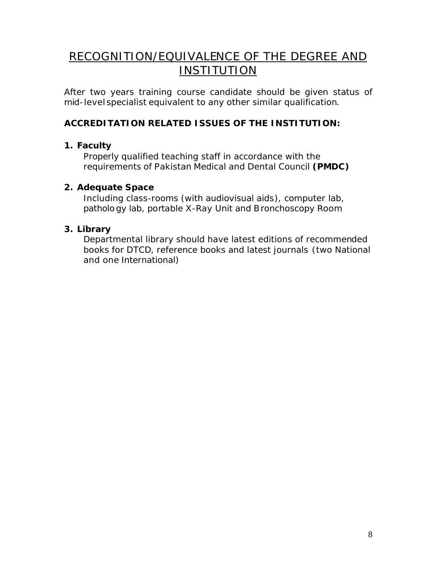### RECOGNITION/EQUIVALENCE OF THE DEGREE AND INSTITUTION

After two years training course candidate should be given status of mid-level specialist equivalent to any other similar qualification.

#### **ACCREDITATION RELATED ISSUES OF THE INSTITUTION:**

#### **1. Faculty**

Properly qualified teaching staff in accordance with the requirements of Pakistan Medical and Dental Council **(PMDC)**

#### **2. Adequate Space**

Including class-rooms (with audiovisual aids), computer lab, patholo gy lab, portable X-Ray Unit and Bronchoscopy Room

#### **3. Library**

Departmental library should have latest editions of recommended books for DTCD, reference books and latest journals (two National and one International)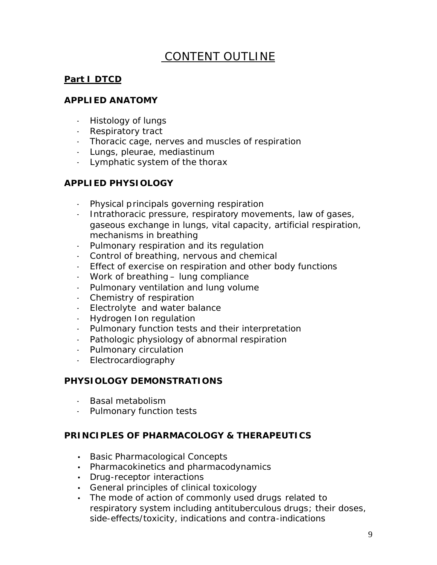## CONTENT OUTLINE

#### **Part I DTCD**

#### **APPLIED ANATOMY**

- Histology of lungs
- Respiratory tract
- Thoracic cage, nerves and muscles of respiration
- Lungs, pleurae, mediastinum
- Lymphatic system of the thorax

#### **APPLIED PHYSIOLOGY**

- Physical principals governing respiration
- Intrathoracic pressure, respiratory movements, law of gases, gaseous exchange in lungs, vital capacity, artificial respiration, mechanisms in breathing
- Pulmonary respiration and its regulation
- Control of breathing, nervous and chemical
- Effect of exercise on respiration and other body functions
- Work of breathing lung compliance
- Pulmonary ventilation and lung volume
- Chemistry of respiration
- Electrolyte and water balance
- Hydrogen Ion regulation
- Pulmonary function tests and their interpretation
- Pathologic physiology of abnormal respiration
- Pulmonary circulation
- Electrocardiography

#### **PHYSIOLOGY DEMONSTRATIONS**

- Basal metabolism
- Pulmonary function tests

#### **PRINCIPLES OF PHARMACOLOGY & THERAPEUTICS**

- Basic Pharmacological Concepts
- Pharmacokinetics and pharmacodynamics
- Drug-receptor interactions
- General principles of clinical toxicology
- The mode of action of commonly used drugs related to respiratory system including antituberculous drugs; their doses, side-effects/toxicity, indications and contra-indications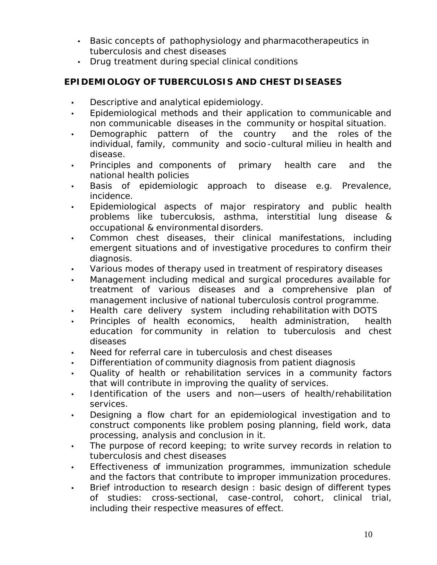- Basic concepts of pathophysiology and pharmacotherapeutics in tuberculosis and chest diseases
- Drug treatment during special clinical conditions

#### **EPIDEMIOLOGY OF TUBERCULOSIS AND CHEST DISEASES**

- Descriptive and analytical epidemiology.
- Epidemiological methods and their application to communicable and non communicable diseases in the community or hospital situation.
- Demographic pattern of the country and the roles of the individual, family, community and socio -cultural milieu in health and disease.
- Principles and components of primary health care and the national health policies
- Basis of epidemiologic approach to disease e.g. Prevalence, incidence.
- Epidemiological aspects of major respiratory and public health problems like tuberculosis, asthma, interstitial lung disease & occupational & environmental disorders.
- Common chest diseases, their clinical manifestations, including emergent situations and of investigative procedures to confirm their diagnosis.
- Various modes of therapy used in treatment of respiratory diseases
- Management including medical and surgical procedures available for treatment of various diseases and a comprehensive plan of management inclusive of national tuberculosis control programme.
- Health care delivery system including rehabilitation with DOTS
- Principles of health economics, health administration, health education for community in relation to tuberculosis and chest diseases
- Need for referral care in tuberculosis and chest diseases
- Differentiation of community diagnosis from patient diagnosis
- Quality of health or rehabilitation services in a community factors that will contribute in improving the quality of services.
- Identification of the users and non—users of health/rehabilitation services.
- Designing a flow chart for an epidemiological investigation and to construct components like problem posing planning, field work, data processing, analysis and conclusion in it.
- The purpose of record keeping; to write survey records in relation to tuberculosis and chest diseases
- Effectiveness of immunization programmes, immunization schedule and the factors that contribute to improper immunization procedures.
- Brief introduction to research design: basic design of different types of studies: cross-sectional, case-control, cohort, clinical trial, including their respective measures of effect.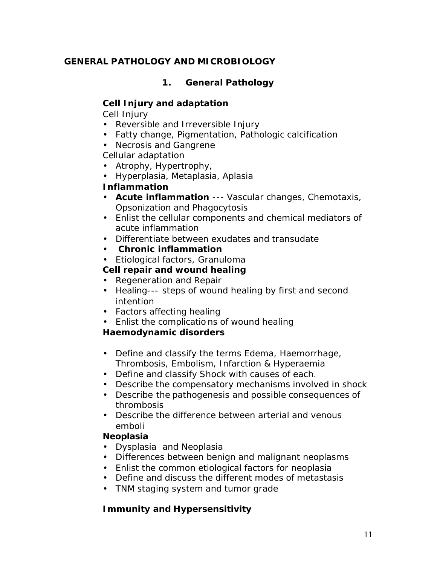#### **GENERAL PATHOLOGY AND MICROBIOLOGY**

#### **1. General Pathology**

#### **Cell Injury and adaptation**

Cell Injury

- Reversible and Irreversible Injury
- Fatty change, Pigmentation, Pathologic calcification
- Necrosis and Gangrene

Cellular adaptation

- Atrophy, Hypertrophy,
- Hyperplasia, Metaplasia, Aplasia

#### **Inflammation**

- **Acute inflammation** --- Vascular changes, Chemotaxis, Opsonization and Phagocytosis
- Enlist the cellular components and chemical mediators of acute inflammation
- Differentiate between exudates and transudate
- **Chronic inflammation**
- Etiological factors, Granuloma

#### **Cell repair and wound healing**

- Regeneration and Repair
- Healing--- steps of wound healing by first and second intention
- Factors affecting healing
- Enlist the complicatio ns of wound healing

#### **Haemodynamic disorders**

- Define and classify the terms Edema, Haemorrhage, Thrombosis, Embolism, Infarction & Hyperaemia
- Define and classify Shock with causes of each.
- Describe the compensatory mechanisms involved in shock
- Describe the pathogenesis and possible consequences of thrombosis
- Describe the difference between arterial and venous emboli

#### **Neoplasia**

- Dysplasia and Neoplasia
- Differences between benign and malignant neoplasms
- Enlist the common etiological factors for neoplasia
- Define and discuss the different modes of metastasis
- TNM staging system and tumor grade

### **Immunity and Hypersensitivity**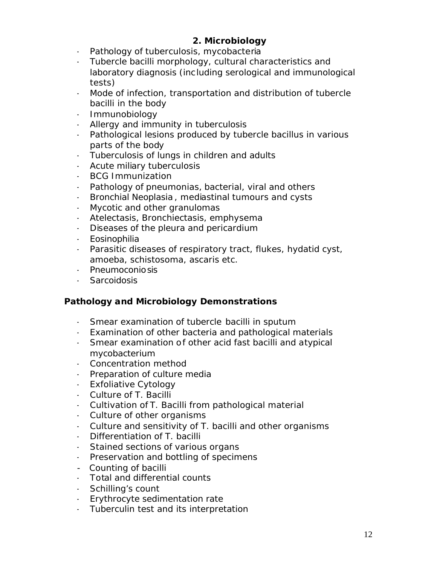#### **2. Microbiology**

- Pathology of tuberculosis, mycobacteria
- Tubercle bacilli morphology, cultural characteristics and laboratory diagnosis (including serological and immunological tests)
- Mode of infection, transportation and distribution of tubercle bacilli in the body
- Immunobiology
- Allergy and immunity in tuberculosis
- Pathological lesions produced by tubercle bacillus in various parts of the body
- Tuberculosis of lungs in children and adults
- Acute miliary tuberculosis
- BCG Immunization
- Pathology of pneumonias, bacterial, viral and others
- Bronchial Neoplasia , mediastinal tumours and cysts
- Mycotic and other granulomas
- Atelectasis, Bronchiectasis, emphysema
- Diseases of the pleura and pericardium
- Eosinophilia
- Parasitic diseases of respiratory tract, flukes, hydatid cyst, amoeba, schistosoma, ascaris etc.
- Pneumoconiosis
- Sarcoidosis

#### **Pathology and Microbiology Demonstrations**

- Smear examination of tubercle bacilli in sputum
- Examination of other bacteria and pathological materials
- Smear examination of other acid fast bacilli and atypical mycobacterium
- Concentration method
- Preparation of culture media
- Exfoliative Cytology
- Culture of T. Bacilli
- Cultivation of T. Bacilli from pathological material
- Culture of other organisms
- Culture and sensitivity of T. bacilli and other organisms
- Differentiation of T. bacilli
- Stained sections of various organs
- Preservation and bottling of specimens
- Counting of bacilli
- Total and differential counts
- Schilling's count
- Erythrocyte sedimentation rate
- Tuberculin test and its interpretation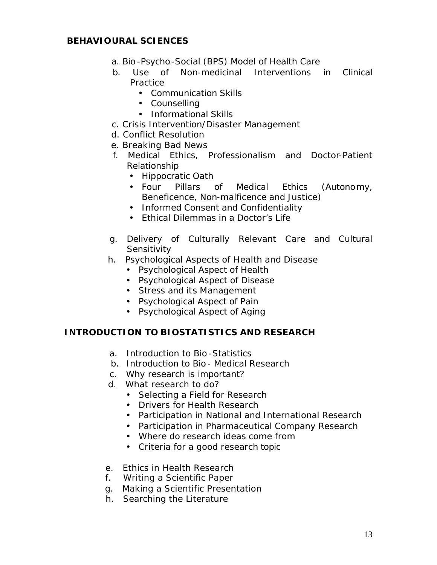#### **BEHAVIOURAL SCIENCES**

- a. Bio -Psycho-Social (BPS) Model of Health Care
- b. Use of Non-medicinal Interventions in Clinical **Practice** 
	- Communication Skills
	- Counselling
	- Informational Skills
- c. Crisis Intervention/Disaster Management
- d. Conflict Resolution
- e. Breaking Bad News
- f. Medical Ethics, Professionalism and Doctor-Patient Relationship
	- Hippocratic Oath
	- Four Pillars of Medical Ethics (Autonomy, Beneficence, Non-malficence and Justice)
	- Informed Consent and Confidentiality
	- Ethical Dilemmas in a Doctor's Life
- g. Delivery of Culturally Relevant Care and Cultural **Sensitivity**
- h. Psychological Aspects of Health and Disease
	- Psychological Aspect of Health
	- Psychological Aspect of Disease
	- Stress and its Management
	- Psychological Aspect of Pain
	- Psychological Aspect of Aging

#### **INTRODUCTION TO BIOSTATISTICS AND RESEARCH**

- a. Introduction to Bio -Statistics
- b. Introduction to Bio Medical Research
- c. Why research is important?
- d. What research to do?
	- **·** Selecting a Field for Research
	- **·** Drivers for Health Research
	- **·** Participation in National and International Research
	- **·** Participation in Pharmaceutical Company Research
	- **·** Where do research ideas come from
	- **·** Criteria for a good research topic
- e. Ethics in Health Research
- f. Writing a Scientific Paper
- g. Making a Scientific Presentation
- h. Searching the Literature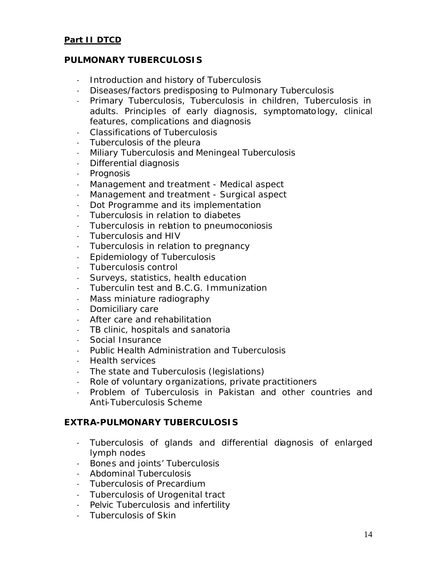#### **Part II DTCD**

#### **PULMONARY TUBERCULOSIS**

- Introduction and history of Tuberculosis
- Diseases/factors predisposing to Pulmonary Tuberculosis
- Primary Tuberculosis, Tuberculosis in children, Tuberculosis in adults. Principles of early diagnosis, symptomatology, clinical features, complications and diagnosis
- Classifications of Tuberculosis
- Tuberculosis of the pleura
- Miliary Tuberculosis and Meningeal Tuberculosis
- Differential diagnosis
- Prognosis
- Management and treatment Medical aspect
- Management and treatment Surgical aspect
- Dot Programme and its implementation
- Tuberculosis in relation to diabetes
- Tuberculosis in relation to pneumoconiosis
- Tuberculosis and HIV
- Tuberculosis in relation to pregnancy
- Epidemiology of Tuberculosis
- Tuberculosis control
- Surveys, statistics, health education
- Tuberculin test and B.C.G. Immunization
- Mass miniature radiography
- Domiciliary care
- After care and rehabilitation
- TB clinic, hospitals and sanatoria
- Social Insurance
- Public Health Administration and Tuberculosis
- Health services
- The state and Tuberculosis (legislations)
- Role of voluntary organizations, private practitioners
- Problem of Tuberculosis in Pakistan and other countries and Anti-Tuberculosis Scheme

#### **EXTRA-PULMONARY TUBERCULOSIS**

- Tuberculosis of glands and differential diagnosis of enlarged lymph nodes
- Bones and joints' Tuberculosis
- Abdominal Tuberculosis
- Tuberculosis of Precardium
- Tuberculosis of Urogenital tract
- Pelvic Tuberculosis and infertility
- Tuberculosis of Skin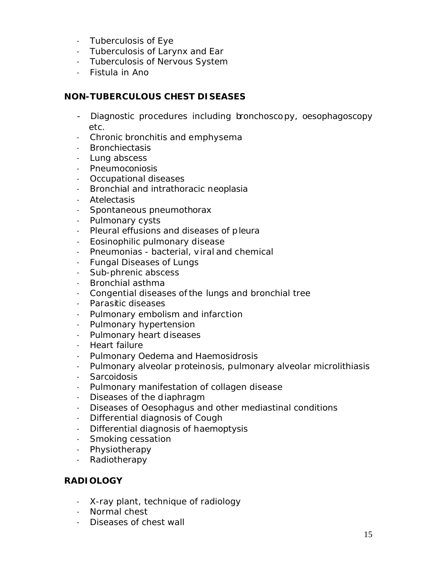- Tuberculosis of Eye
- Tuberculosis of Larynx and Ear
- Tuberculosis of Nervous System
- Fistula in Ano

#### **NON-TUBERCULOUS CHEST DISEASES**

- Diagnostic procedures including bronchoscopy, oesophagoscopy etc.
- Chronic bronchitis and emphysema
- Bronchiectasis
- Lung abscess
- Pneumoconiosis
- Occupational diseases
- Bronchial and intrathoracic neoplasia
- Atelectasis
- Spontaneous pneumothorax
- Pulmonary cysts
- Pleural effusions and diseases of pleura
- Eosinophilic pulmonary disease
- Pneumonias bacterial, viral and chemical
- Fungal Diseases of Lungs
- Sub-phrenic abscess
- Bronchial asthma
- Congential diseases of the lungs and bronchial tree
- Parasitic diseases
- Pulmonary embolism and infarction
- Pulmonary hypertension
- Pulmonary heart diseases
- Heart failure
- Pulmonary Oedema and Haemosidrosis
- Pulmonary alveolar proteinosis, pulmonary alveolar microlithiasis
- Sarcoidosis
- Pulmonary manifestation of collagen disease
- Diseases of the diaphragm
- Diseases of Oesophagus and other mediastinal conditions
- Differential diagnosis of Cough
- Differential diagnosis of haemoptysis
- Smoking cessation
- Physiotherapy
- Radiotherapy

#### **RADIOLOGY**

- X-ray plant, technique of radiology
- Normal chest
- Diseases of chest wall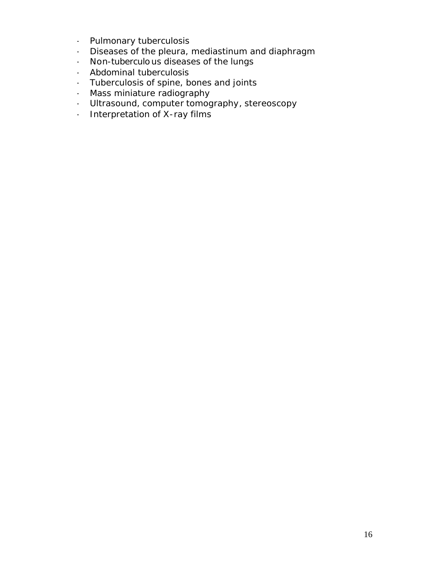- Pulmonary tuberculosis
- Diseases of the pleura, mediastinum and diaphragm
- Non-tuberculo us diseases of the lungs
- Abdominal tuberculosis
- Tuberculosis of spine, bones and joints
- Mass miniature radiography
- Ultrasound, computer tomography, stereoscopy
- Interpretation of X-ray films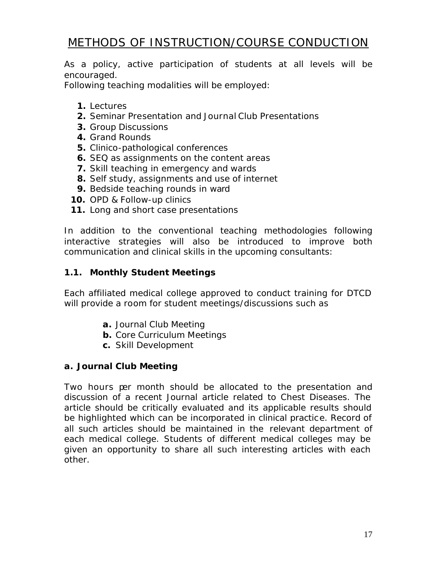## METHODS OF INSTRUCTION/COURSE CONDUCTION

As a policy, active participation of students at all levels will be encouraged.

Following teaching modalities will be employed:

- **1.** Lectures
- **2.** Seminar Presentation and Journal Club Presentations
- **3.** Group Discussions
- **4.** Grand Rounds
- **5.** Clinico-pathological conferences
- **6.** SEQ as assignments on the content areas
- **7.** Skill teaching in emergency and wards
- **8.** Self study, assignments and use of internet
- **9.** Bedside teaching rounds in ward
- **10.** OPD & Follow-up clinics
- **11.** Long and short case presentations

In addition to the conventional teaching methodologies following interactive strategies will also be introduced to improve both communication and clinical skills in the upcoming consultants:

#### **1.1. Monthly Student Meetings**

Each affiliated medical college approved to conduct training for DTCD will provide a room for student meetings/discussions such as

- **a.** Journal Club Meeting
- **b.** Core Curriculum Meetings
- **c.** Skill Development

#### *a. Journal Club Meeting*

Two hours per month should be allocated to the presentation and discussion of a recent Journal article related to Chest Diseases. The article should be critically evaluated and its applicable results should be highlighted which can be incorporated in clinical practice. Record of all such articles should be maintained in the relevant department of each medical college. Students of different medical colleges may be given an opportunity to share all such interesting articles with each other.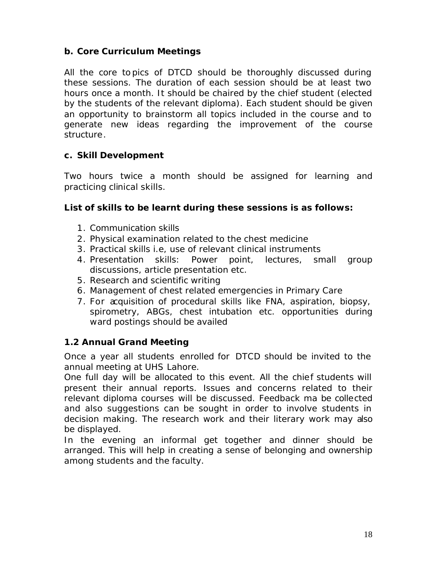#### *b. Core Curriculum Meetings*

All the core to pics of DTCD should be thoroughly discussed during these sessions. The duration of each session should be at least two hours once a month. It should be chaired by the chief student (elected by the students of the relevant diploma). Each student should be given an opportunity to brainstorm all topics included in the course and to generate new ideas regarding the improvement of the course structure.

#### *c. Skill Development*

Two hours twice a month should be assigned for learning and practicing clinical skills.

#### **List of skills to be learnt during these sessions is as follows:**

- 1. Communication skills
- 2. Physical examination related to the chest medicine
- 3. Practical skills i.e, use of relevant clinical instruments
- 4. Presentation skills: Power point, lectures, small group discussions, article presentation etc.
- 5. Research and scientific writing
- 6. Management of chest related emergencies in Primary Care
- 7. For acquisition of procedural skills like FNA, aspiration, biopsy, spirometry, ABGs, chest intubation etc. opportunities during ward postings should be availed

#### **1.2 Annual Grand Meeting**

Once a year all students enrolled for DTCD should be invited to the annual meeting at UHS Lahore.

One full day will be allocated to this event. All the chief students will present their annual reports. Issues and concerns related to their relevant diploma courses will be discussed. Feedback ma be collected and also suggestions can be sought in order to involve students in decision making. The research work and their literary work may also be displayed.

In the evening an informal get together and dinner should be arranged. This will help in creating a sense of belonging and ownership among students and the faculty.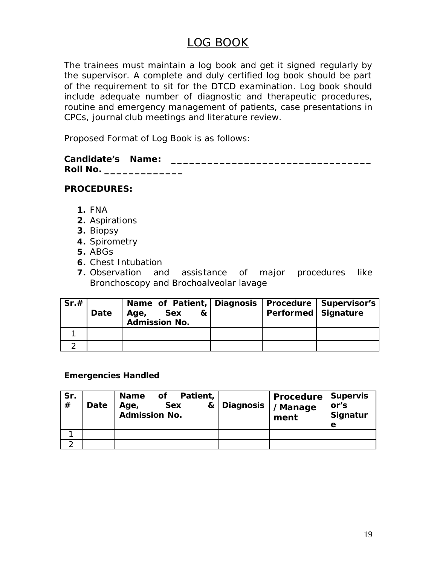### LOG BOOK

The trainees must maintain a log book and get it signed regularly by the supervisor. A complete and duly certified log book should be part of the requirement to sit for the DTCD examination. Log book should include adequate number of diagnostic and therapeutic procedures, routine and emergency management of patients, case presentations in CPCs, journal club meetings and literature review.

Proposed Format of Log Book is as follows:

| <b>Candidate's Name:</b> |  |
|--------------------------|--|
| <b>Roll No.</b>          |  |

#### **PROCEDURES:**

- **1.** FNA
- **2.** Aspirations
- **3.** Biopsy
- **4.** Spirometry
- **5.** ABGs
- **6.** Chest Intubation
- **7.** Observation and assistance of major procedures like Bronchoscopy and Brochoalveolar lavage

| Sr.# | Date | Name of Patient, Diagnosis   Procedure   Supervisor's<br>Sex<br>8x l<br>Age,<br>Admission No. | Performed Signature |  |
|------|------|-----------------------------------------------------------------------------------------------|---------------------|--|
|      |      |                                                                                               |                     |  |
|      |      |                                                                                               |                     |  |

#### **Emergencies Handled**

| Sr.<br># | Date | of Patient,<br>Name<br><b>Sex</b><br>Age,<br><b>Admission No.</b> | & Diagnosis | <b>Procedure   Supervis</b><br>/Manage<br>ment | or's<br>Signatur<br>е |
|----------|------|-------------------------------------------------------------------|-------------|------------------------------------------------|-----------------------|
|          |      |                                                                   |             |                                                |                       |
|          |      |                                                                   |             |                                                |                       |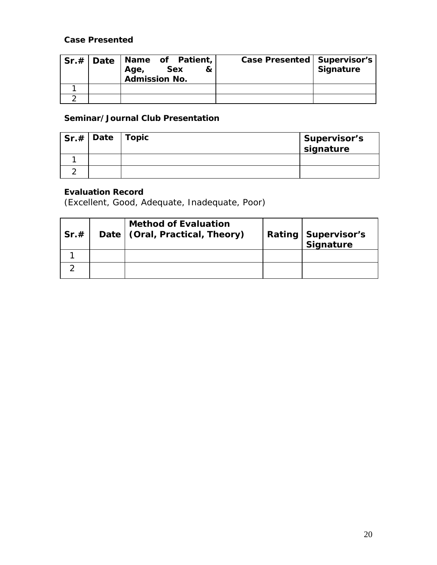#### **Case Presented**

|  | Sr.#   Date   Name of Patient,<br><b>Sex</b><br>&<br>Age,<br><b>Admission No.</b> | <b>Case Presented   Supervisor's</b> | <b>Signature</b> |
|--|-----------------------------------------------------------------------------------|--------------------------------------|------------------|
|  |                                                                                   |                                      |                  |
|  |                                                                                   |                                      |                  |

#### **Seminar/Journal Club Presentation**

| $\vert$ Sr.# $\vert$ Date $\vert$ Topic | Supervisor's<br>signature |
|-----------------------------------------|---------------------------|
|                                         |                           |
|                                         |                           |

### **Evaluation Record**

(Excellent, Good, Adequate, Inadequate, Poor)

| Sr.# | <b>Method of Evaluation</b><br>Date   (Oral, Practical, Theory) | <b>Rating   Supervisor's</b><br>Signature |
|------|-----------------------------------------------------------------|-------------------------------------------|
|      |                                                                 |                                           |
|      |                                                                 |                                           |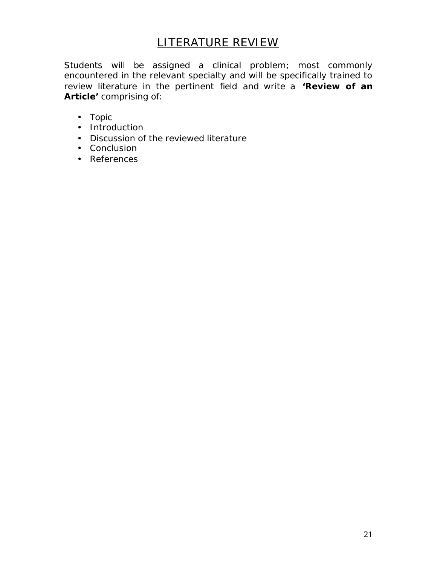### LITERATURE REVIEW

Students will be assigned a clinical problem; most commonly encountered in the relevant specialty and will be specifically trained to review literature in the pertinent field and write a **'Review of an Article'** comprising of:

- Topic
- Introduction
- Discussion of the reviewed literature
- Conclusion
- References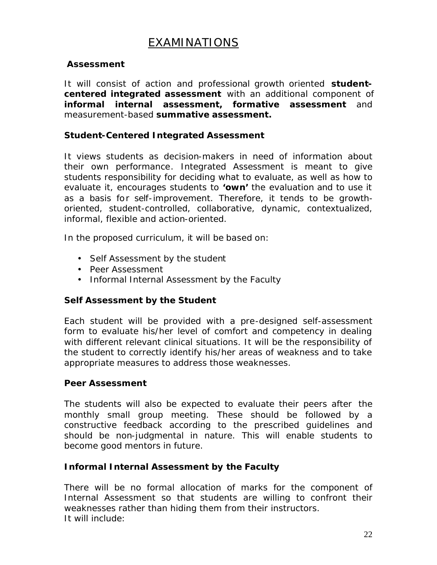### EXAMINATIONS

#### **Assessment**

It will consist of action and professional growth oriented *studentcentered integrated assessment* with an additional component of *informal internal assessment***,** *formative assessment* and measurement-based *summative assessment***.**

#### **Student-Centered Integrated Assessment**

It views students as decision-makers in need of information about their own performance. Integrated Assessment is meant to give students responsibility for deciding what to evaluate, as well as how to evaluate it, encourages students to **'own'** the evaluation and to use it as a basis for self-improvement. Therefore, it tends to be growthoriented, student-controlled, collaborative, dynamic, contextualized, informal, flexible and action-oriented.

In the proposed curriculum, it will be based on:

- Self Assessment by the student
- Peer Assessment
- Informal Internal Assessment by the Faculty

#### *Self Assessment by the Student*

Each student will be provided with a pre-designed self-assessment form to evaluate his/her level of comfort and competency in dealing with different relevant clinical situations. It will be the responsibility of the student to correctly identify his/her areas of weakness and to take appropriate measures to address those weaknesses.

#### *Peer Assessment*

The students will also be expected to evaluate their peers after the monthly small group meeting. These should be followed by a constructive feedback according to the prescribed guidelines and should be non-judgmental in nature. This will enable students to become good mentors in future.

#### *Informal Internal Assessment by the Faculty*

There will be no formal allocation of marks for the component of Internal Assessment so that students are willing to confront their weaknesses rather than hiding them from their instructors. It will include: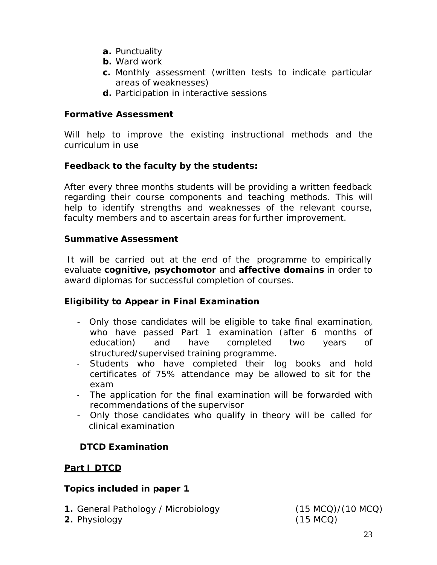- **a.** Punctuality
- **b.** Ward work
- **c.** Monthly assessment (written tests to indicate particular areas of weaknesses)
- **d.** Participation in interactive sessions

#### **Formative Assessment**

Will help to improve the existing instructional methods and the curriculum in use

#### *Feedback to the faculty by the students:*

After every three months students will be providing a written feedback regarding their course components and teaching methods. This will help to identify strengths and weaknesses of the relevant course, faculty members and to ascertain areas for further improvement.

#### **Summative Assessment**

It will be carried out at the end of the programme to empirically evaluate **cognitive, psychomotor** and **affective domains** in order to award diplomas for successful completion of courses.

#### **Eligibility to Appear in Final Examination**

- Only those candidates will be eligible to take final examination, who have passed Part 1 examination (after 6 months of education) and have completed two years of structured/supervised training programme.
- Students who have completed their log books and hold certificates of 75% attendance may be allowed to sit for the exam
- The application for the final examination will be forwarded with recommendations of the supervisor
- Only those candidates who qualify in theory will be called for clinical examination

#### **DTCD Examination**

#### **Part I DTCD**

#### **Topics included in paper 1**

- **1.** General Pathology / Microbiology (15 MCQ)/(10 MCQ)
- **2.** Physiology (15 MCQ)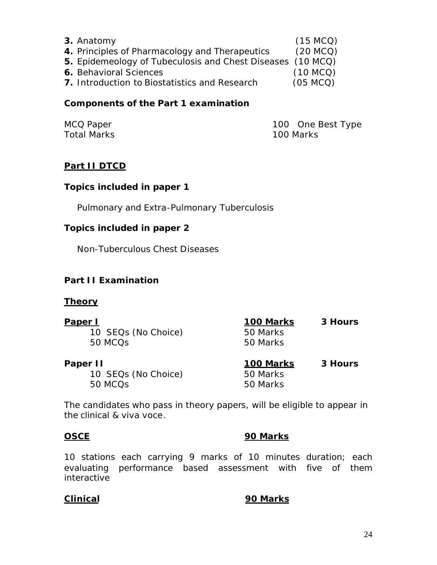| 3. Anatomy                                                 | (15 MCO) |
|------------------------------------------------------------|----------|
| 4. Principles of Pharmacology and Therapeutics             | (20 MCO) |
| 5. Epidemeology of Tubeculosis and Chest Diseases (10 MCQ) |          |
| <b>6.</b> Behavioral Sciences                              | (10 MCO) |
| 7. Introduction to Biostatistics and Research              | (05 MCO) |

#### **Components of the Part 1 examination**

Total Marks 100 Marks

MCQ Paper **100** One Best Type

#### **Part II DTCD**

#### **Topics included in paper 1**

Pulmonary and Extra-Pulmonary Tuberculosis

#### **Topics included in paper 2**

Non-Tuberculous Chest Diseases

#### **Part II Examination**

#### **Theory**

| Paper I             | 100 Marks | 3 Hours |
|---------------------|-----------|---------|
| 10 SEQs (No Choice) | 50 Marks  |         |
| 50 MCQ <sub>S</sub> | 50 Marks  |         |
| Paper II            | 100 Marks | 3 Hours |
| 10 SEQs (No Choice) | 50 Marks  |         |
| 50 MCQ <sub>S</sub> | 50 Marks  |         |

The candidates who pass in theory papers, will be eligible to appear in the clinical & viva voce.

#### **OSCE 90 Marks**

10 stations each carrying 9 marks of 10 minutes duration; each evaluating performance based assessment with five of them interactive

#### **Clinical 90 Marks**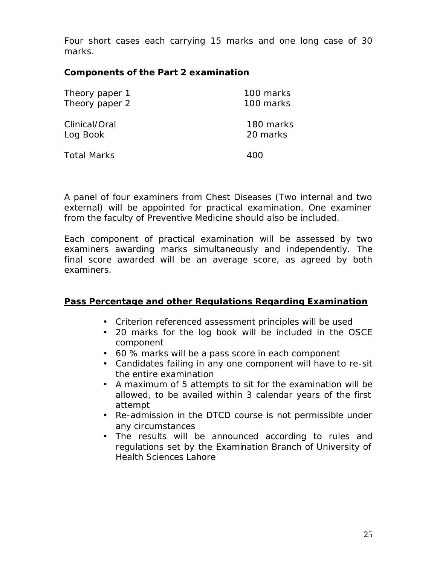Four short cases each carrying 15 marks and one long case of 30 marks.

#### **Components of the Part 2 examination**

| Theory paper 1     | 100 marks |
|--------------------|-----------|
| Theory paper 2     | 100 marks |
| Clinical/Oral      | 180 marks |
| Log Book           | 20 marks  |
| <b>Total Marks</b> | 400       |

A panel of four examiners from Chest Diseases (Two internal and two external) will be appointed for practical examination. One examiner from the faculty of Preventive Medicine should also be included.

Each component of practical examination will be assessed by two examiners awarding marks simultaneously and independently. The final score awarded will be an average score, as agreed by both examiners.

#### **Pass Percentage and other Regulations Regarding Examination**

- **·** Criterion referenced assessment principles will be used
- **·** 20 marks for the log book will be included in the OSCE component
- **·** 60 % marks will be a pass score in each component
- **·** Candidates failing in any one component will have to re-sit the entire examination
- **·** A maximum of 5 attempts to sit for the examination will be allowed, to be availed within 3 calendar years of the first attempt
- **·** Re-admission in the DTCD course is not permissible under any circumstances
- **·** The results will be announced according to rules and regulations set by the Examination Branch of University of Health Sciences Lahore